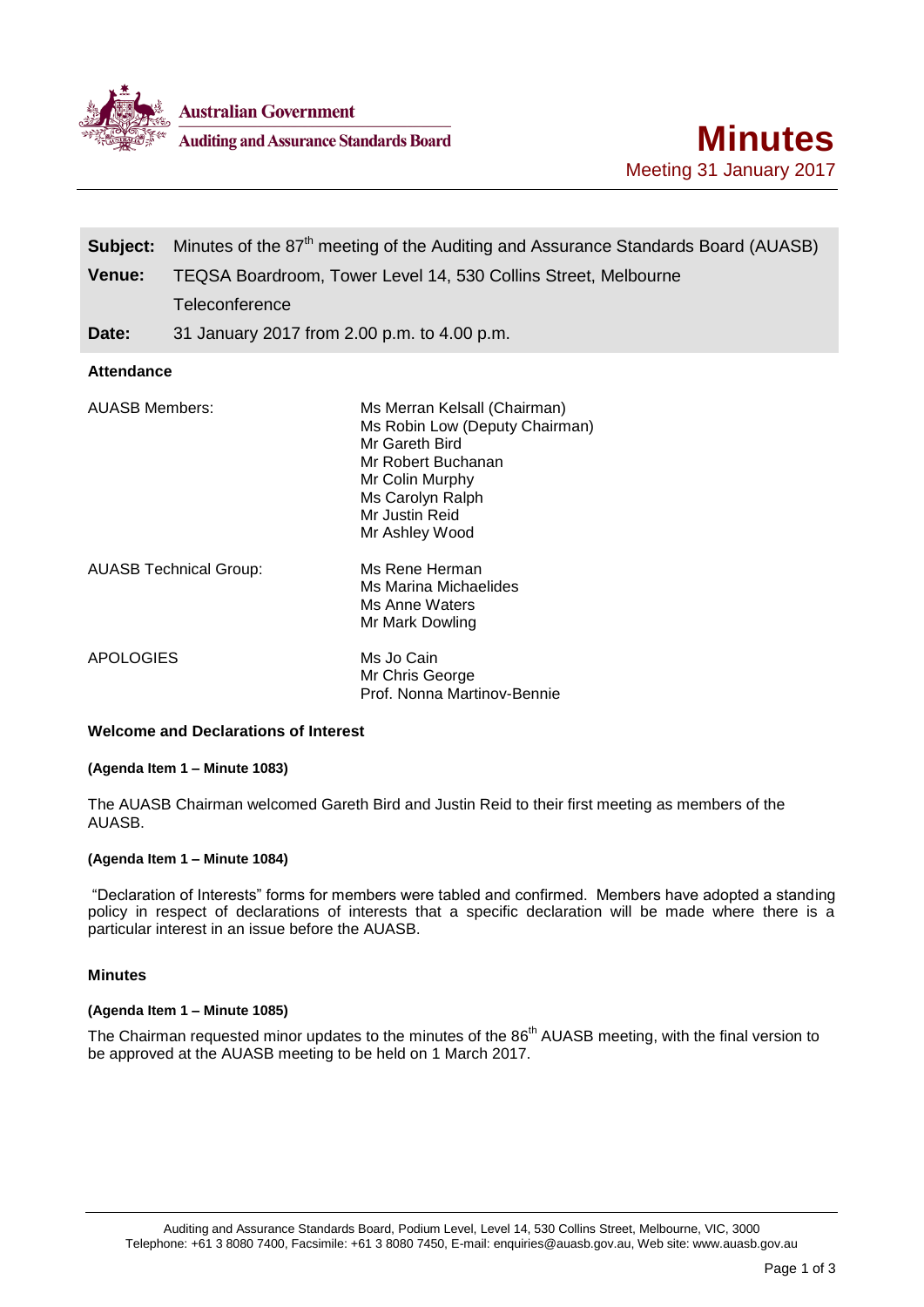

**Australian Government** 

**Auditing and Assurance Standards Board** 

| Subject:<br>Venue:                          | Minutes of the 87 <sup>th</sup> meeting of the Auditing and Assurance Standards Board (AUASB)<br>TEQSA Boardroom, Tower Level 14, 530 Collins Street, Melbourne<br>Teleconference |
|---------------------------------------------|-----------------------------------------------------------------------------------------------------------------------------------------------------------------------------------|
| Date:                                       | 31 January 2017 from 2.00 p.m. to 4.00 p.m.                                                                                                                                       |
| <b>Attendance</b>                           |                                                                                                                                                                                   |
| <b>AUASB Members:</b>                       | Ms Merran Kelsall (Chairman)<br>Ms Robin Low (Deputy Chairman)<br>Mr Gareth Bird<br>Mr Robert Buchanan<br>Mr Colin Murphy<br>Ms Carolyn Ralph<br>Mr Justin Reid<br>Mr Ashley Wood |
|                                             | Ms Rene Herman<br><b>AUASB Technical Group:</b><br>Ms Marina Michaelides<br>Ms Anne Waters<br>Mr Mark Dowling                                                                     |
| <b>APOLOGIES</b>                            | Ms Jo Cain<br>Mr Chris George<br>Prof. Nonna Martinov-Bennie                                                                                                                      |
| <b>Welcome and Declarations of Interest</b> |                                                                                                                                                                                   |

# **(Agenda Item 1 – Minute 1083)**

The AUASB Chairman welcomed Gareth Bird and Justin Reid to their first meeting as members of the AUASB.

# **(Agenda Item 1 – Minute 1084)**

"Declaration of Interests" forms for members were tabled and confirmed. Members have adopted a standing policy in respect of declarations of interests that a specific declaration will be made where there is a particular interest in an issue before the AUASB.

## **Minutes**

#### **(Agenda Item 1 – Minute 1085)**

The Chairman requested minor updates to the minutes of the 86<sup>th</sup> AUASB meeting, with the final version to be approved at the AUASB meeting to be held on 1 March 2017.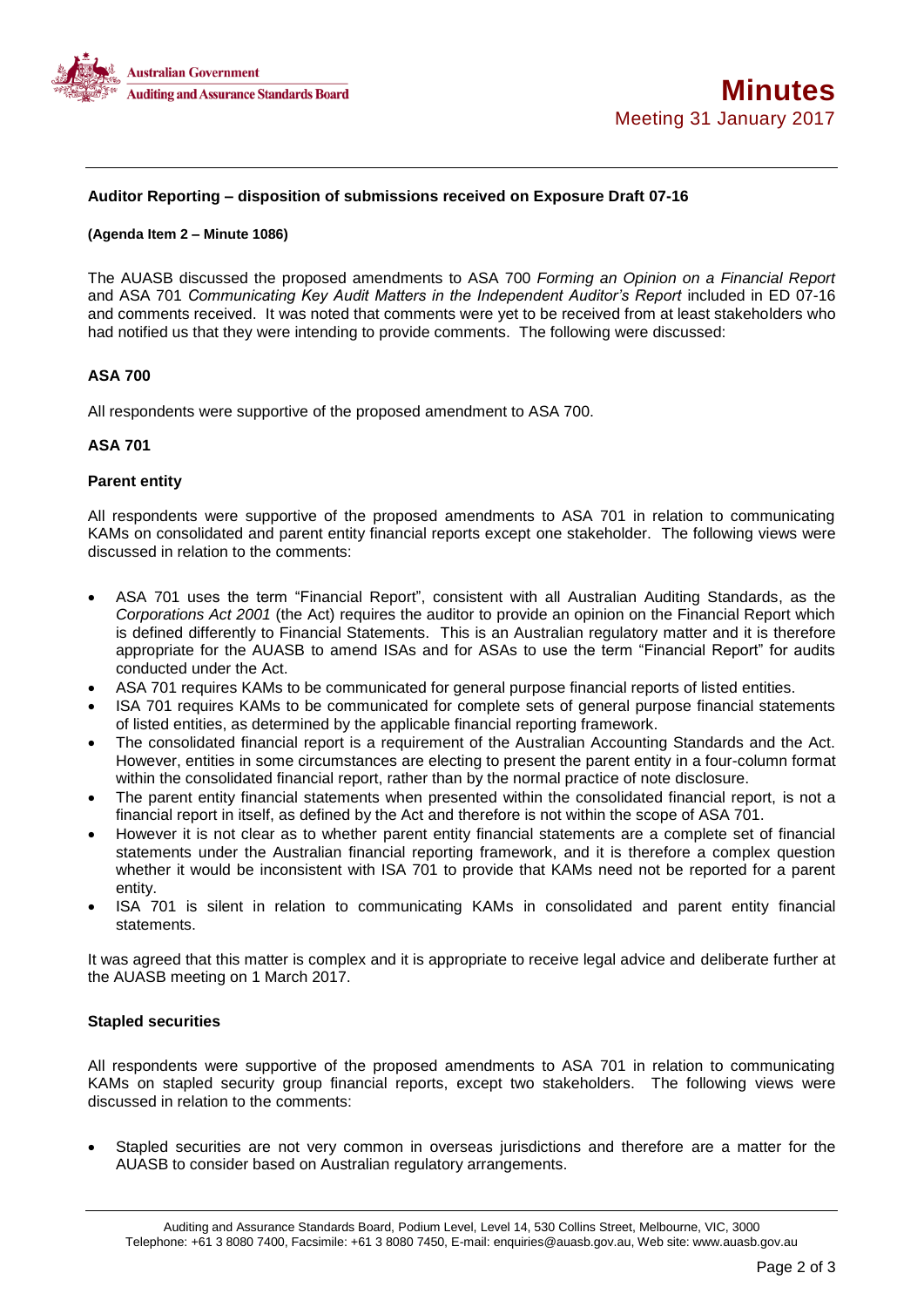

# **Auditor Reporting – disposition of submissions received on Exposure Draft 07-16**

#### **(Agenda Item 2 – Minute 1086)**

The AUASB discussed the proposed amendments to ASA 700 *Forming an Opinion on a Financial Report* and ASA 701 *Communicating Key Audit Matters in the Independent Auditor's Report* included in ED 07-16 and comments received. It was noted that comments were yet to be received from at least stakeholders who had notified us that they were intending to provide comments. The following were discussed:

# **ASA 700**

All respondents were supportive of the proposed amendment to ASA 700.

## **ASA 701**

## **Parent entity**

All respondents were supportive of the proposed amendments to ASA 701 in relation to communicating KAMs on consolidated and parent entity financial reports except one stakeholder. The following views were discussed in relation to the comments:

- ASA 701 uses the term "Financial Report", consistent with all Australian Auditing Standards, as the *Corporations Act 2001* (the Act) requires the auditor to provide an opinion on the Financial Report which is defined differently to Financial Statements. This is an Australian regulatory matter and it is therefore appropriate for the AUASB to amend ISAs and for ASAs to use the term "Financial Report" for audits conducted under the Act.
- ASA 701 requires KAMs to be communicated for general purpose financial reports of listed entities.
- ISA 701 requires KAMs to be communicated for complete sets of general purpose financial statements of listed entities, as determined by the applicable financial reporting framework.
- The consolidated financial report is a requirement of the Australian Accounting Standards and the Act. However, entities in some circumstances are electing to present the parent entity in a four-column format within the consolidated financial report, rather than by the normal practice of note disclosure.
- The parent entity financial statements when presented within the consolidated financial report, is not a financial report in itself, as defined by the Act and therefore is not within the scope of ASA 701.
- However it is not clear as to whether parent entity financial statements are a complete set of financial statements under the Australian financial reporting framework, and it is therefore a complex question whether it would be inconsistent with ISA 701 to provide that KAMs need not be reported for a parent entity.
- ISA 701 is silent in relation to communicating KAMs in consolidated and parent entity financial statements.

It was agreed that this matter is complex and it is appropriate to receive legal advice and deliberate further at the AUASB meeting on 1 March 2017.

## **Stapled securities**

All respondents were supportive of the proposed amendments to ASA 701 in relation to communicating KAMs on stapled security group financial reports, except two stakeholders. The following views were discussed in relation to the comments:

 Stapled securities are not very common in overseas jurisdictions and therefore are a matter for the AUASB to consider based on Australian regulatory arrangements.